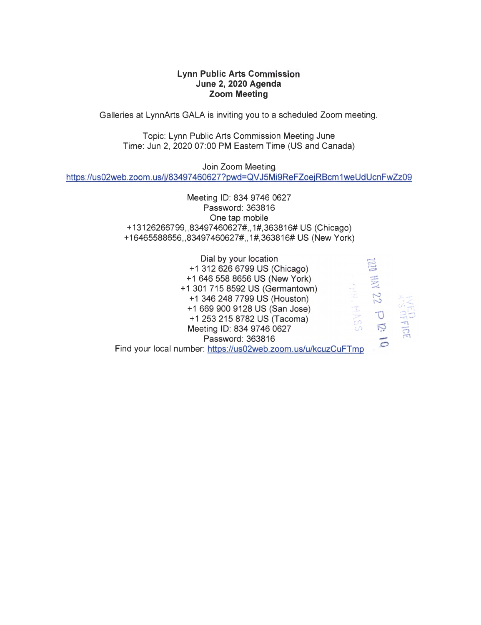# **Lynn Public Arts Commission June 2, 2020 Agenda Zoom Meeting**

Galleries at LynnArts GALA is inviting you to a scheduled Zoom meeting.

Topic: Lynn Public Arts Commission Meeting June Time: Jun 2, 2020 07:00 PM Eastern Time (US and Canada)

Join Zoom Meeting https://us02web.zoom.us/j/83497460627?pwd=QVJ5Mi9ReFZoejRBcm1weUdUcnFwZz09

> Meeting ID: 834 9746 0627 Password: 363816 One tap mobile +13126266799,,83497460627#,, 1#,363816# US (Chicago) +16465588656,, 83497460627#,, 1#,363816# US (New York)

Dial by your location +1 312 626 6799 US (Chicago) +1 646 558 8656 US (New York) +1 301 715 8592 US (Germantown) +1 346 248 7799 US (Houston) +1 669 900 9128 US (San Jose) +1 253 215 8782 US (Tacoma) Meeting ID: 834 9746 0627 Password: 363816  $\mathcal{L}_{\mathbf{D}}$ Find your local number: https://us02web.zoom.us/u/kcuzCuFTmp  $\epsilon$ - ' ~ • 't